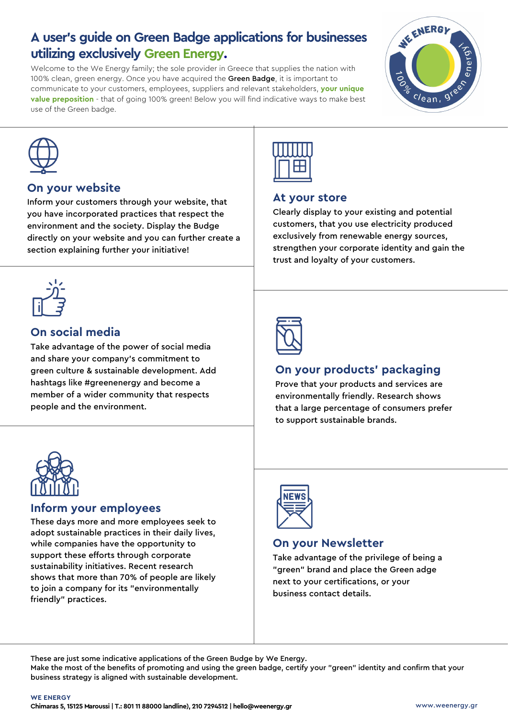## **A user's guide on Green Badge applications for businesses utilizing exclusively Green Energy.**

Welcome to the We Energy family; the sole provider in Greece that supplies the nation with 100% clean, green energy. Once you have acquired the Green Badge, it is important to communicate to your customers, employees, suppliers and relevant stakeholders, **your unique value preposition** - that of going 100% green! Below you will find indicative ways to make best use of the Green badge.





#### **On your website**

Inform your customers through your website, that you have incorporated practices that respect the environment and the society. Display the Budge directly on your website and you can further create a section explaining further your initiative!



## **On social media**

Take advantage of the power of social media and share your company's commitment to green culture & sustainable development. Add hashtags like #greenenergy and become a member of a wider community that respects people and the environment.



#### **At your store**

Clearly display to your existing and potential customers, that you use electricity produced exclusively from renewable energy sources, strengthen your corporate identity and gain the trust and loyalty of your customers.



## **On your products' packaging**

Prove that your products and services are environmentally friendly. Research shows that a large percentage of consumers prefer to support sustainable brands.



#### **Inform your employees**

These days more and more employees seek to adopt sustainable practices in their daily lives, while companies have the opportunity to support these efforts through corporate sustainability initiatives. Recent research shows that more than 70% of people are likely to join a company for its "environmentally friendly" practices.



## **On your Newsletter**

Take advantage of the privilege of being a "green" brand and place the Green adge next to your certifications, or your business contact details.

These are just some indicative applications of the Green Budge by We Energy.

Make the most of the benefits of promoting and using the green badge, certify your "green" identity and confirm that your business strategy is aligned with sustainable development.